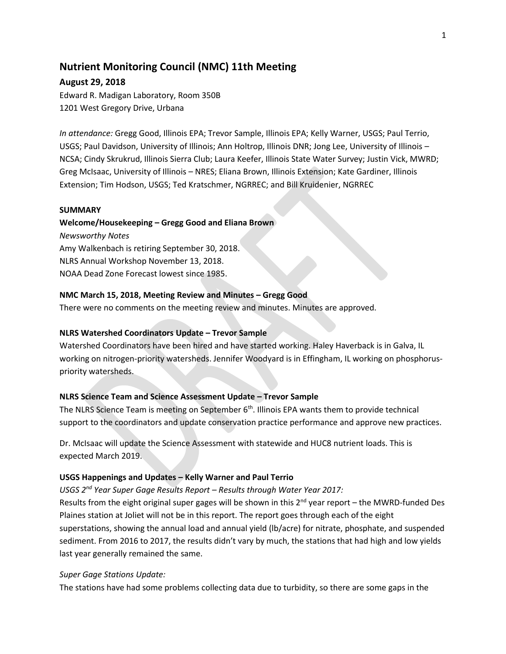# **Nutrient Monitoring Council (NMC) 11th Meeting**

# **August 29, 2018**

Edward R. Madigan Laboratory, Room 350B 1201 West Gregory Drive, Urbana

*In attendance:* Gregg Good, Illinois EPA; Trevor Sample, Illinois EPA; Kelly Warner, USGS; Paul Terrio, USGS; Paul Davidson, University of Illinois; Ann Holtrop, Illinois DNR; Jong Lee, University of Illinois – NCSA; Cindy Skrukrud, Illinois Sierra Club; Laura Keefer, Illinois State Water Survey; Justin Vick, MWRD; Greg McIsaac, University of Illinois – NRES; Eliana Brown, Illinois Extension; Kate Gardiner, Illinois Extension; Tim Hodson, USGS; Ted Kratschmer, NGRREC; and Bill Kruidenier, NGRREC

### **SUMMARY**

# **Welcome/Housekeeping – Gregg Good and Eliana Brown**

*Newsworthy Notes* Amy Walkenbach is retiring September 30, 2018. NLRS Annual Workshop November 13, 2018. NOAA Dead Zone Forecast lowest since 1985.

# **NMC March 15, 2018, Meeting Review and Minutes – Gregg Good**

There were no comments on the meeting review and minutes. Minutes are approved.

# **NLRS Watershed Coordinators Update – Trevor Sample**

Watershed Coordinators have been hired and have started working. Haley Haverback is in Galva, IL working on nitrogen-priority watersheds. Jennifer Woodyard is in Effingham, IL working on phosphoruspriority watersheds.

# **NLRS Science Team and Science Assessment Update – Trevor Sample**

The NLRS Science Team is meeting on September  $6<sup>th</sup>$ . Illinois EPA wants them to provide technical support to the coordinators and update conservation practice performance and approve new practices.

Dr. McIsaac will update the Science Assessment with statewide and HUC8 nutrient loads. This is expected March 2019.

# **USGS Happenings and Updates – Kelly Warner and Paul Terrio**

*USGS 2nd Year Super Gage Results Report – Results through Water Year 2017:*

Results from the eight original super gages will be shown in this  $2<sup>nd</sup>$  year report – the MWRD-funded Des Plaines station at Joliet will not be in this report. The report goes through each of the eight superstations, showing the annual load and annual yield (lb/acre) for nitrate, phosphate, and suspended sediment. From 2016 to 2017, the results didn't vary by much, the stations that had high and low yields last year generally remained the same.

# *Super Gage Stations Update:*

The stations have had some problems collecting data due to turbidity, so there are some gaps in the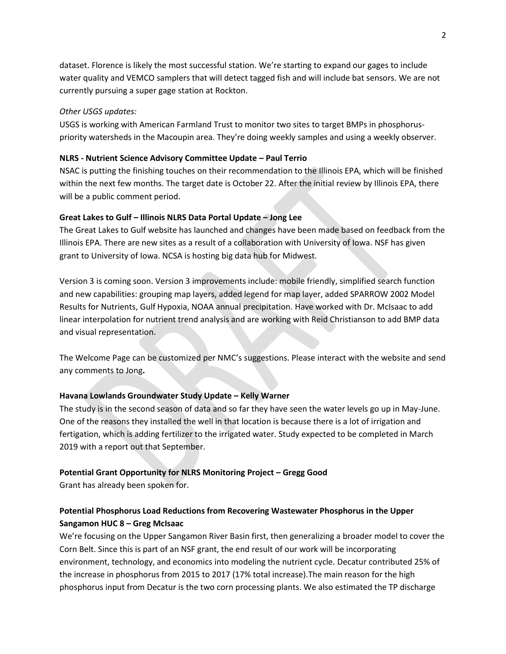dataset. Florence is likely the most successful station. We're starting to expand our gages to include water quality and VEMCO samplers that will detect tagged fish and will include bat sensors. We are not currently pursuing a super gage station at Rockton.

### *Other USGS updates:*

USGS is working with American Farmland Trust to monitor two sites to target BMPs in phosphoruspriority watersheds in the Macoupin area. They're doing weekly samples and using a weekly observer.

### **NLRS - Nutrient Science Advisory Committee Update – Paul Terrio**

NSAC is putting the finishing touches on their recommendation to the Illinois EPA, which will be finished within the next few months. The target date is October 22. After the initial review by Illinois EPA, there will be a public comment period.

# **Great Lakes to Gulf – Illinois NLRS Data Portal Update – Jong Lee**

The Great Lakes to Gulf website has launched and changes have been made based on feedback from the Illinois EPA. There are new sites as a result of a collaboration with University of Iowa. NSF has given grant to University of Iowa. NCSA is hosting big data hub for Midwest.

Version 3 is coming soon. Version 3 improvements include: mobile friendly, simplified search function and new capabilities: grouping map layers, added legend for map layer, added SPARROW 2002 Model Results for Nutrients, Gulf Hypoxia, NOAA annual precipitation. Have worked with Dr. McIsaac to add linear interpolation for nutrient trend analysis and are working with Reid Christianson to add BMP data and visual representation.

The Welcome Page can be customized per NMC's suggestions. Please interact with the website and send any comments to Jong**.**

# **Havana Lowlands Groundwater Study Update – Kelly Warner**

The study is in the second season of data and so far they have seen the water levels go up in May-June. One of the reasons they installed the well in that location is because there is a lot of irrigation and fertigation, which is adding fertilizer to the irrigated water. Study expected to be completed in March 2019 with a report out that September.

# **Potential Grant Opportunity for NLRS Monitoring Project – Gregg Good**

Grant has already been spoken for.

# **Potential Phosphorus Load Reductions from Recovering Wastewater Phosphorus in the Upper Sangamon HUC 8 – Greg McIsaac**

We're focusing on the Upper Sangamon River Basin first, then generalizing a broader model to cover the Corn Belt. Since this is part of an NSF grant, the end result of our work will be incorporating environment, technology, and economics into modeling the nutrient cycle. Decatur contributed 25% of the increase in phosphorus from 2015 to 2017 (17% total increase).The main reason for the high phosphorus input from Decatur is the two corn processing plants. We also estimated the TP discharge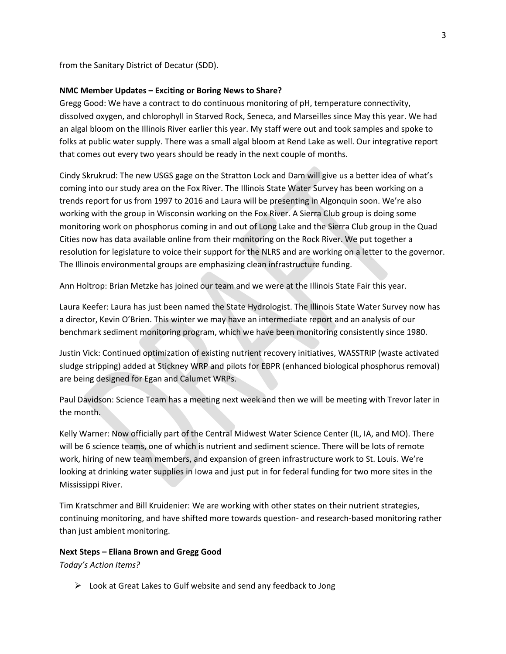from the Sanitary District of Decatur (SDD).

### **NMC Member Updates – Exciting or Boring News to Share?**

Gregg Good: We have a contract to do continuous monitoring of pH, temperature connectivity, dissolved oxygen, and chlorophyll in Starved Rock, Seneca, and Marseilles since May this year. We had an algal bloom on the Illinois River earlier this year. My staff were out and took samples and spoke to folks at public water supply. There was a small algal bloom at Rend Lake as well. Our integrative report that comes out every two years should be ready in the next couple of months.

Cindy Skrukrud: The new USGS gage on the Stratton Lock and Dam will give us a better idea of what's coming into our study area on the Fox River. The Illinois State Water Survey has been working on a trends report for us from 1997 to 2016 and Laura will be presenting in Algonquin soon. We're also working with the group in Wisconsin working on the Fox River. A Sierra Club group is doing some monitoring work on phosphorus coming in and out of Long Lake and the Sierra Club group in the Quad Cities now has data available online from their monitoring on the Rock River. We put together a resolution for legislature to voice their support for the NLRS and are working on a letter to the governor. The Illinois environmental groups are emphasizing clean infrastructure funding.

Ann Holtrop: Brian Metzke has joined our team and we were at the Illinois State Fair this year.

Laura Keefer: Laura has just been named the State Hydrologist. The Illinois State Water Survey now has a director, Kevin O'Brien. This winter we may have an intermediate report and an analysis of our benchmark sediment monitoring program, which we have been monitoring consistently since 1980.

Justin Vick: Continued optimization of existing nutrient recovery initiatives, WASSTRIP (waste activated sludge stripping) added at Stickney WRP and pilots for EBPR (enhanced biological phosphorus removal) are being designed for Egan and Calumet WRPs.

Paul Davidson: Science Team has a meeting next week and then we will be meeting with Trevor later in the month.

Kelly Warner: Now officially part of the Central Midwest Water Science Center (IL, IA, and MO). There will be 6 science teams, one of which is nutrient and sediment science. There will be lots of remote work, hiring of new team members, and expansion of green infrastructure work to St. Louis. We're looking at drinking water supplies in Iowa and just put in for federal funding for two more sites in the Mississippi River.

Tim Kratschmer and Bill Kruidenier: We are working with other states on their nutrient strategies, continuing monitoring, and have shifted more towards question- and research-based monitoring rather than just ambient monitoring.

#### **Next Steps – Eliana Brown and Gregg Good**

*Today's Action Items?*

 $\triangleright$  Look at Great Lakes to Gulf website and send any feedback to Jong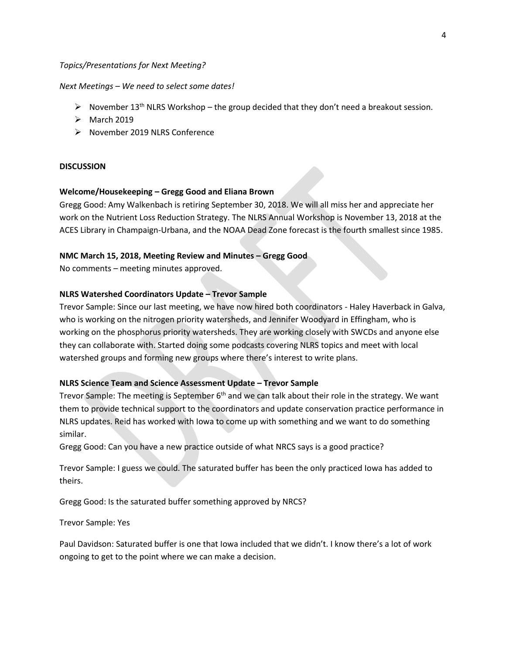### *Topics/Presentations for Next Meeting?*

#### *Next Meetings – We need to select some dates!*

- November 13<sup>th</sup> NLRS Workshop the group decided that they don't need a breakout session.
- $\triangleright$  March 2019
- ▶ November 2019 NLRS Conference

#### **DISCUSSION**

#### **Welcome/Housekeeping – Gregg Good and Eliana Brown**

Gregg Good: Amy Walkenbach is retiring September 30, 2018. We will all miss her and appreciate her work on the Nutrient Loss Reduction Strategy. The NLRS Annual Workshop is November 13, 2018 at the ACES Library in Champaign-Urbana, and the NOAA Dead Zone forecast is the fourth smallest since 1985.

### **NMC March 15, 2018, Meeting Review and Minutes – Gregg Good**

No comments – meeting minutes approved.

### **NLRS Watershed Coordinators Update – Trevor Sample**

Trevor Sample: Since our last meeting, we have now hired both coordinators - Haley Haverback in Galva, who is working on the nitrogen priority watersheds, and Jennifer Woodyard in Effingham, who is working on the phosphorus priority watersheds. They are working closely with SWCDs and anyone else they can collaborate with. Started doing some podcasts covering NLRS topics and meet with local watershed groups and forming new groups where there's interest to write plans.

# **NLRS Science Team and Science Assessment Update – Trevor Sample**

Trevor Sample: The meeting is September 6<sup>th</sup> and we can talk about their role in the strategy. We want them to provide technical support to the coordinators and update conservation practice performance in NLRS updates. Reid has worked with Iowa to come up with something and we want to do something similar.

Gregg Good: Can you have a new practice outside of what NRCS says is a good practice?

Trevor Sample: I guess we could. The saturated buffer has been the only practiced Iowa has added to theirs.

Gregg Good: Is the saturated buffer something approved by NRCS?

Trevor Sample: Yes

Paul Davidson: Saturated buffer is one that Iowa included that we didn't. I know there's a lot of work ongoing to get to the point where we can make a decision.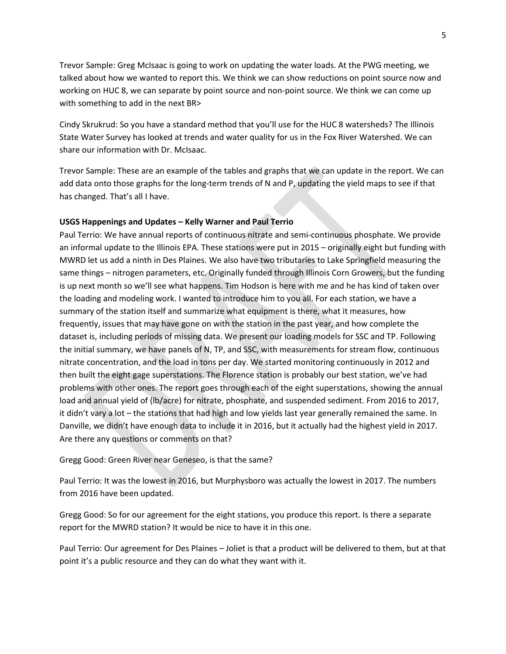Trevor Sample: Greg McIsaac is going to work on updating the water loads. At the PWG meeting, we talked about how we wanted to report this. We think we can show reductions on point source now and working on HUC 8, we can separate by point source and non-point source. We think we can come up with something to add in the next BR>

Cindy Skrukrud: So you have a standard method that you'll use for the HUC 8 watersheds? The Illinois State Water Survey has looked at trends and water quality for us in the Fox River Watershed. We can share our information with Dr. McIsaac.

Trevor Sample: These are an example of the tables and graphs that we can update in the report. We can add data onto those graphs for the long-term trends of N and P, updating the yield maps to see if that has changed. That's all I have.

### **USGS Happenings and Updates – Kelly Warner and Paul Terrio**

Paul Terrio: We have annual reports of continuous nitrate and semi-continuous phosphate. We provide an informal update to the Illinois EPA. These stations were put in 2015 – originally eight but funding with MWRD let us add a ninth in Des Plaines. We also have two tributaries to Lake Springfield measuring the same things – nitrogen parameters, etc. Originally funded through Illinois Corn Growers, but the funding is up next month so we'll see what happens. Tim Hodson is here with me and he has kind of taken over the loading and modeling work. I wanted to introduce him to you all. For each station, we have a summary of the station itself and summarize what equipment is there, what it measures, how frequently, issues that may have gone on with the station in the past year, and how complete the dataset is, including periods of missing data. We present our loading models for SSC and TP. Following the initial summary, we have panels of N, TP, and SSC, with measurements for stream flow, continuous nitrate concentration, and the load in tons per day. We started monitoring continuously in 2012 and then built the eight gage superstations. The Florence station is probably our best station, we've had problems with other ones. The report goes through each of the eight superstations, showing the annual load and annual yield of (lb/acre) for nitrate, phosphate, and suspended sediment. From 2016 to 2017, it didn't vary a lot – the stations that had high and low yields last year generally remained the same. In Danville, we didn't have enough data to include it in 2016, but it actually had the highest yield in 2017. Are there any questions or comments on that?

Gregg Good: Green River near Geneseo, is that the same?

Paul Terrio: It was the lowest in 2016, but Murphysboro was actually the lowest in 2017. The numbers from 2016 have been updated.

Gregg Good: So for our agreement for the eight stations, you produce this report. Is there a separate report for the MWRD station? It would be nice to have it in this one.

Paul Terrio: Our agreement for Des Plaines – Joliet is that a product will be delivered to them, but at that point it's a public resource and they can do what they want with it.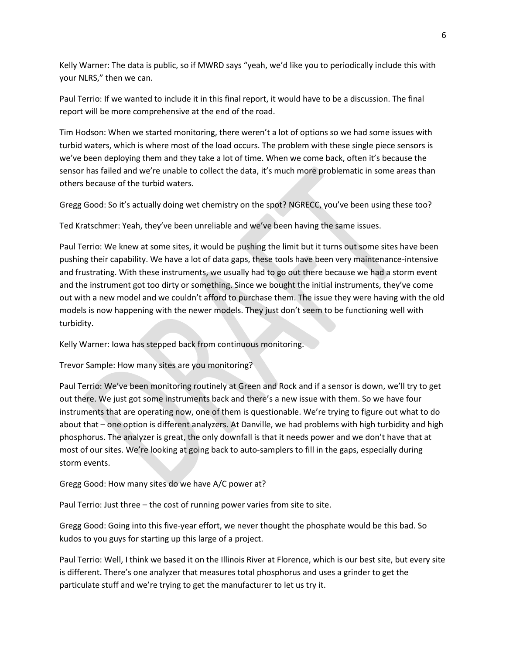Kelly Warner: The data is public, so if MWRD says "yeah, we'd like you to periodically include this with your NLRS," then we can.

Paul Terrio: If we wanted to include it in this final report, it would have to be a discussion. The final report will be more comprehensive at the end of the road.

Tim Hodson: When we started monitoring, there weren't a lot of options so we had some issues with turbid waters, which is where most of the load occurs. The problem with these single piece sensors is we've been deploying them and they take a lot of time. When we come back, often it's because the sensor has failed and we're unable to collect the data, it's much more problematic in some areas than others because of the turbid waters.

Gregg Good: So it's actually doing wet chemistry on the spot? NGRECC, you've been using these too?

Ted Kratschmer: Yeah, they've been unreliable and we've been having the same issues.

Paul Terrio: We knew at some sites, it would be pushing the limit but it turns out some sites have been pushing their capability. We have a lot of data gaps, these tools have been very maintenance-intensive and frustrating. With these instruments, we usually had to go out there because we had a storm event and the instrument got too dirty or something. Since we bought the initial instruments, they've come out with a new model and we couldn't afford to purchase them. The issue they were having with the old models is now happening with the newer models. They just don't seem to be functioning well with turbidity.

Kelly Warner: Iowa has stepped back from continuous monitoring.

Trevor Sample: How many sites are you monitoring?

Paul Terrio: We've been monitoring routinely at Green and Rock and if a sensor is down, we'll try to get out there. We just got some instruments back and there's a new issue with them. So we have four instruments that are operating now, one of them is questionable. We're trying to figure out what to do about that – one option is different analyzers. At Danville, we had problems with high turbidity and high phosphorus. The analyzer is great, the only downfall is that it needs power and we don't have that at most of our sites. We're looking at going back to auto-samplers to fill in the gaps, especially during storm events.

Gregg Good: How many sites do we have A/C power at?

Paul Terrio: Just three – the cost of running power varies from site to site.

Gregg Good: Going into this five-year effort, we never thought the phosphate would be this bad. So kudos to you guys for starting up this large of a project.

Paul Terrio: Well, I think we based it on the Illinois River at Florence, which is our best site, but every site is different. There's one analyzer that measures total phosphorus and uses a grinder to get the particulate stuff and we're trying to get the manufacturer to let us try it.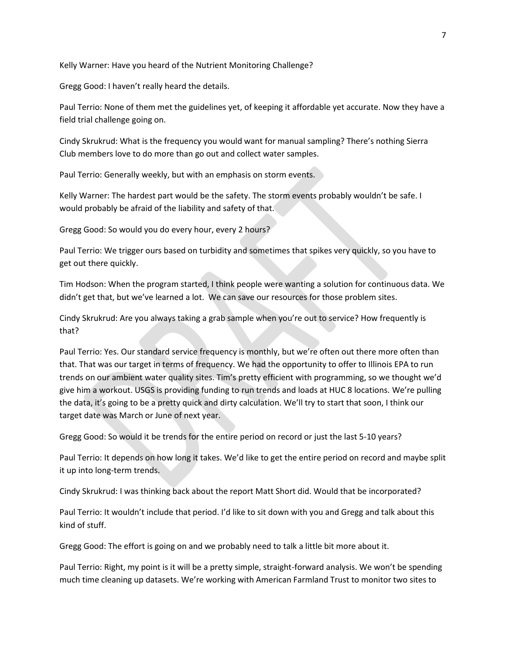Kelly Warner: Have you heard of the Nutrient Monitoring Challenge?

Gregg Good: I haven't really heard the details.

Paul Terrio: None of them met the guidelines yet, of keeping it affordable yet accurate. Now they have a field trial challenge going on.

Cindy Skrukrud: What is the frequency you would want for manual sampling? There's nothing Sierra Club members love to do more than go out and collect water samples.

Paul Terrio: Generally weekly, but with an emphasis on storm events.

Kelly Warner: The hardest part would be the safety. The storm events probably wouldn't be safe. I would probably be afraid of the liability and safety of that.

Gregg Good: So would you do every hour, every 2 hours?

Paul Terrio: We trigger ours based on turbidity and sometimes that spikes very quickly, so you have to get out there quickly.

Tim Hodson: When the program started, I think people were wanting a solution for continuous data. We didn't get that, but we've learned a lot. We can save our resources for those problem sites.

Cindy Skrukrud: Are you always taking a grab sample when you're out to service? How frequently is that?

Paul Terrio: Yes. Our standard service frequency is monthly, but we're often out there more often than that. That was our target in terms of frequency. We had the opportunity to offer to Illinois EPA to run trends on our ambient water quality sites. Tim's pretty efficient with programming, so we thought we'd give him a workout. USGS is providing funding to run trends and loads at HUC 8 locations. We're pulling the data, it's going to be a pretty quick and dirty calculation. We'll try to start that soon, I think our target date was March or June of next year.

Gregg Good: So would it be trends for the entire period on record or just the last 5-10 years?

Paul Terrio: It depends on how long it takes. We'd like to get the entire period on record and maybe split it up into long-term trends.

Cindy Skrukrud: I was thinking back about the report Matt Short did. Would that be incorporated?

Paul Terrio: It wouldn't include that period. I'd like to sit down with you and Gregg and talk about this kind of stuff.

Gregg Good: The effort is going on and we probably need to talk a little bit more about it.

Paul Terrio: Right, my point is it will be a pretty simple, straight-forward analysis. We won't be spending much time cleaning up datasets. We're working with American Farmland Trust to monitor two sites to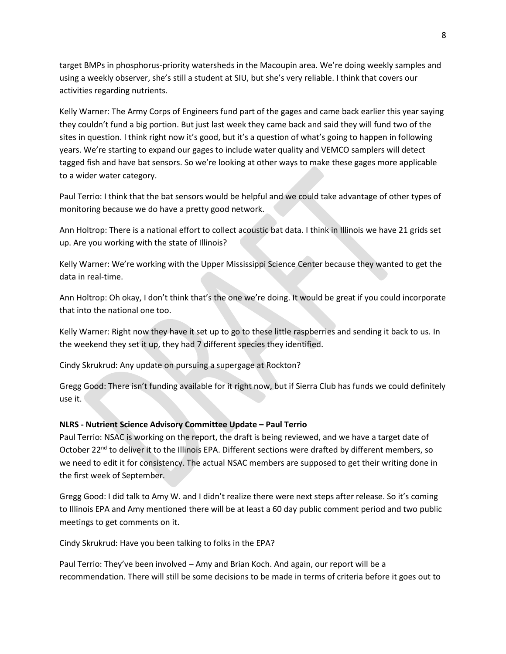target BMPs in phosphorus-priority watersheds in the Macoupin area. We're doing weekly samples and using a weekly observer, she's still a student at SIU, but she's very reliable. I think that covers our activities regarding nutrients.

Kelly Warner: The Army Corps of Engineers fund part of the gages and came back earlier this year saying they couldn't fund a big portion. But just last week they came back and said they will fund two of the sites in question. I think right now it's good, but it's a question of what's going to happen in following years. We're starting to expand our gages to include water quality and VEMCO samplers will detect tagged fish and have bat sensors. So we're looking at other ways to make these gages more applicable to a wider water category.

Paul Terrio: I think that the bat sensors would be helpful and we could take advantage of other types of monitoring because we do have a pretty good network.

Ann Holtrop: There is a national effort to collect acoustic bat data. I think in Illinois we have 21 grids set up. Are you working with the state of Illinois?

Kelly Warner: We're working with the Upper Mississippi Science Center because they wanted to get the data in real-time.

Ann Holtrop: Oh okay, I don't think that's the one we're doing. It would be great if you could incorporate that into the national one too.

Kelly Warner: Right now they have it set up to go to these little raspberries and sending it back to us. In the weekend they set it up, they had 7 different species they identified.

Cindy Skrukrud: Any update on pursuing a supergage at Rockton?

Gregg Good: There isn't funding available for it right now, but if Sierra Club has funds we could definitely use it.

# **NLRS - Nutrient Science Advisory Committee Update – Paul Terrio**

Paul Terrio: NSAC is working on the report, the draft is being reviewed, and we have a target date of October 22<sup>nd</sup> to deliver it to the Illinois EPA. Different sections were drafted by different members, so we need to edit it for consistency. The actual NSAC members are supposed to get their writing done in the first week of September.

Gregg Good: I did talk to Amy W. and I didn't realize there were next steps after release. So it's coming to Illinois EPA and Amy mentioned there will be at least a 60 day public comment period and two public meetings to get comments on it.

Cindy Skrukrud: Have you been talking to folks in the EPA?

Paul Terrio: They've been involved – Amy and Brian Koch. And again, our report will be a recommendation. There will still be some decisions to be made in terms of criteria before it goes out to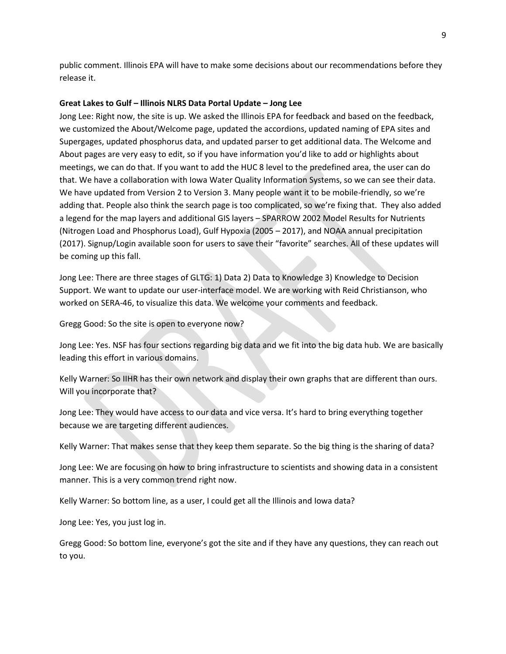public comment. Illinois EPA will have to make some decisions about our recommendations before they release it.

### **Great Lakes to Gulf – Illinois NLRS Data Portal Update – Jong Lee**

Jong Lee: Right now, the site is up. We asked the Illinois EPA for feedback and based on the feedback, we customized the About/Welcome page, updated the accordions, updated naming of EPA sites and Supergages, updated phosphorus data, and updated parser to get additional data. The Welcome and About pages are very easy to edit, so if you have information you'd like to add or highlights about meetings, we can do that. If you want to add the HUC 8 level to the predefined area, the user can do that. We have a collaboration with Iowa Water Quality Information Systems, so we can see their data. We have updated from Version 2 to Version 3. Many people want it to be mobile-friendly, so we're adding that. People also think the search page is too complicated, so we're fixing that. They also added a legend for the map layers and additional GIS layers – SPARROW 2002 Model Results for Nutrients (Nitrogen Load and Phosphorus Load), Gulf Hypoxia (2005 – 2017), and NOAA annual precipitation (2017). Signup/Login available soon for users to save their "favorite" searches. All of these updates will be coming up this fall.

Jong Lee: There are three stages of GLTG: 1) Data 2) Data to Knowledge 3) Knowledge to Decision Support. We want to update our user-interface model. We are working with Reid Christianson, who worked on SERA-46, to visualize this data. We welcome your comments and feedback.

Gregg Good: So the site is open to everyone now?

Jong Lee: Yes. NSF has four sections regarding big data and we fit into the big data hub. We are basically leading this effort in various domains.

Kelly Warner: So IIHR has their own network and display their own graphs that are different than ours. Will you incorporate that?

Jong Lee: They would have access to our data and vice versa. It's hard to bring everything together because we are targeting different audiences.

Kelly Warner: That makes sense that they keep them separate. So the big thing is the sharing of data?

Jong Lee: We are focusing on how to bring infrastructure to scientists and showing data in a consistent manner. This is a very common trend right now.

Kelly Warner: So bottom line, as a user, I could get all the Illinois and Iowa data?

Jong Lee: Yes, you just log in.

Gregg Good: So bottom line, everyone's got the site and if they have any questions, they can reach out to you.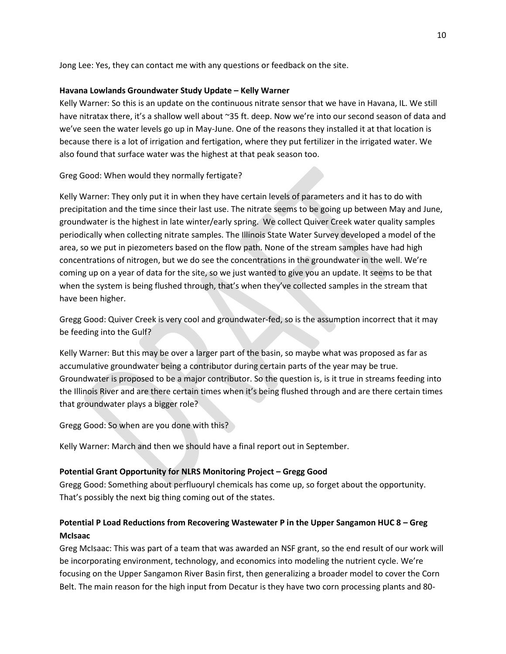Jong Lee: Yes, they can contact me with any questions or feedback on the site.

### **Havana Lowlands Groundwater Study Update – Kelly Warner**

Kelly Warner: So this is an update on the continuous nitrate sensor that we have in Havana, IL. We still have nitratax there, it's a shallow well about ~35 ft. deep. Now we're into our second season of data and we've seen the water levels go up in May-June. One of the reasons they installed it at that location is because there is a lot of irrigation and fertigation, where they put fertilizer in the irrigated water. We also found that surface water was the highest at that peak season too.

# Greg Good: When would they normally fertigate?

Kelly Warner: They only put it in when they have certain levels of parameters and it has to do with precipitation and the time since their last use. The nitrate seems to be going up between May and June, groundwater is the highest in late winter/early spring. We collect Quiver Creek water quality samples periodically when collecting nitrate samples. The Illinois State Water Survey developed a model of the area, so we put in piezometers based on the flow path. None of the stream samples have had high concentrations of nitrogen, but we do see the concentrations in the groundwater in the well. We're coming up on a year of data for the site, so we just wanted to give you an update. It seems to be that when the system is being flushed through, that's when they've collected samples in the stream that have been higher.

Gregg Good: Quiver Creek is very cool and groundwater-fed, so is the assumption incorrect that it may be feeding into the Gulf?

Kelly Warner: But this may be over a larger part of the basin, so maybe what was proposed as far as accumulative groundwater being a contributor during certain parts of the year may be true. Groundwater is proposed to be a major contributor. So the question is, is it true in streams feeding into the Illinois River and are there certain times when it's being flushed through and are there certain times that groundwater plays a bigger role?

Gregg Good: So when are you done with this?

Kelly Warner: March and then we should have a final report out in September.

# **Potential Grant Opportunity for NLRS Monitoring Project – Gregg Good**

Gregg Good: Something about perfluouryl chemicals has come up, so forget about the opportunity. That's possibly the next big thing coming out of the states.

# **Potential P Load Reductions from Recovering Wastewater P in the Upper Sangamon HUC 8 – Greg McIsaac**

Greg McIsaac: This was part of a team that was awarded an NSF grant, so the end result of our work will be incorporating environment, technology, and economics into modeling the nutrient cycle. We're focusing on the Upper Sangamon River Basin first, then generalizing a broader model to cover the Corn Belt. The main reason for the high input from Decatur is they have two corn processing plants and 80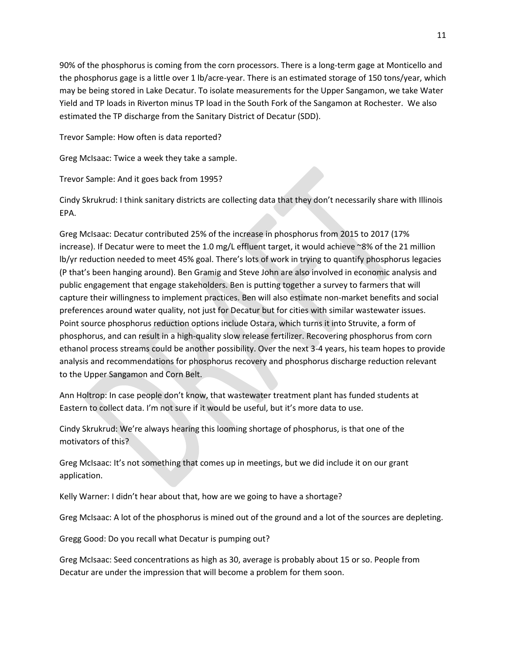90% of the phosphorus is coming from the corn processors. There is a long-term gage at Monticello and the phosphorus gage is a little over 1 lb/acre-year. There is an estimated storage of 150 tons/year, which may be being stored in Lake Decatur. To isolate measurements for the Upper Sangamon, we take Water Yield and TP loads in Riverton minus TP load in the South Fork of the Sangamon at Rochester. We also estimated the TP discharge from the Sanitary District of Decatur (SDD).

Trevor Sample: How often is data reported?

Greg McIsaac: Twice a week they take a sample.

Trevor Sample: And it goes back from 1995?

Cindy Skrukrud: I think sanitary districts are collecting data that they don't necessarily share with Illinois EPA.

Greg McIsaac: Decatur contributed 25% of the increase in phosphorus from 2015 to 2017 (17% increase). If Decatur were to meet the 1.0 mg/L effluent target, it would achieve ~8% of the 21 million lb/yr reduction needed to meet 45% goal. There's lots of work in trying to quantify phosphorus legacies (P that's been hanging around). Ben Gramig and Steve John are also involved in economic analysis and public engagement that engage stakeholders. Ben is putting together a survey to farmers that will capture their willingness to implement practices. Ben will also estimate non-market benefits and social preferences around water quality, not just for Decatur but for cities with similar wastewater issues. Point source phosphorus reduction options include Ostara, which turns it into Struvite, a form of phosphorus, and can result in a high-quality slow release fertilizer. Recovering phosphorus from corn ethanol process streams could be another possibility. Over the next 3-4 years, his team hopes to provide analysis and recommendations for phosphorus recovery and phosphorus discharge reduction relevant to the Upper Sangamon and Corn Belt.

Ann Holtrop: In case people don't know, that wastewater treatment plant has funded students at Eastern to collect data. I'm not sure if it would be useful, but it's more data to use.

Cindy Skrukrud: We're always hearing this looming shortage of phosphorus, is that one of the motivators of this?

Greg McIsaac: It's not something that comes up in meetings, but we did include it on our grant application.

Kelly Warner: I didn't hear about that, how are we going to have a shortage?

Greg McIsaac: A lot of the phosphorus is mined out of the ground and a lot of the sources are depleting.

Gregg Good: Do you recall what Decatur is pumping out?

Greg McIsaac: Seed concentrations as high as 30, average is probably about 15 or so. People from Decatur are under the impression that will become a problem for them soon.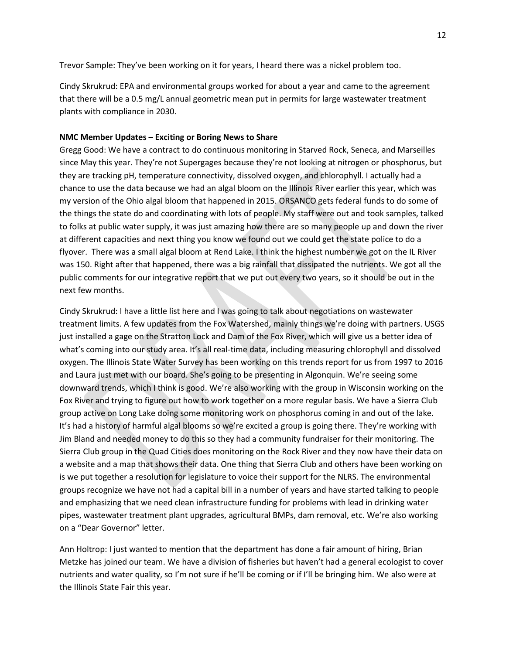Trevor Sample: They've been working on it for years, I heard there was a nickel problem too.

Cindy Skrukrud: EPA and environmental groups worked for about a year and came to the agreement that there will be a 0.5 mg/L annual geometric mean put in permits for large wastewater treatment plants with compliance in 2030.

#### **NMC Member Updates – Exciting or Boring News to Share**

Gregg Good: We have a contract to do continuous monitoring in Starved Rock, Seneca, and Marseilles since May this year. They're not Supergages because they're not looking at nitrogen or phosphorus, but they are tracking pH, temperature connectivity, dissolved oxygen, and chlorophyll. I actually had a chance to use the data because we had an algal bloom on the Illinois River earlier this year, which was my version of the Ohio algal bloom that happened in 2015. ORSANCO gets federal funds to do some of the things the state do and coordinating with lots of people. My staff were out and took samples, talked to folks at public water supply, it was just amazing how there are so many people up and down the river at different capacities and next thing you know we found out we could get the state police to do a flyover. There was a small algal bloom at Rend Lake. I think the highest number we got on the IL River was 150. Right after that happened, there was a big rainfall that dissipated the nutrients. We got all the public comments for our integrative report that we put out every two years, so it should be out in the next few months.

Cindy Skrukrud: I have a little list here and I was going to talk about negotiations on wastewater treatment limits. A few updates from the Fox Watershed, mainly things we're doing with partners. USGS just installed a gage on the Stratton Lock and Dam of the Fox River, which will give us a better idea of what's coming into our study area. It's all real-time data, including measuring chlorophyll and dissolved oxygen. The Illinois State Water Survey has been working on this trends report for us from 1997 to 2016 and Laura just met with our board. She's going to be presenting in Algonquin. We're seeing some downward trends, which I think is good. We're also working with the group in Wisconsin working on the Fox River and trying to figure out how to work together on a more regular basis. We have a Sierra Club group active on Long Lake doing some monitoring work on phosphorus coming in and out of the lake. It's had a history of harmful algal blooms so we're excited a group is going there. They're working with Jim Bland and needed money to do this so they had a community fundraiser for their monitoring. The Sierra Club group in the Quad Cities does monitoring on the Rock River and they now have their data on a website and a map that shows their data. One thing that Sierra Club and others have been working on is we put together a resolution for legislature to voice their support for the NLRS. The environmental groups recognize we have not had a capital bill in a number of years and have started talking to people and emphasizing that we need clean infrastructure funding for problems with lead in drinking water pipes, wastewater treatment plant upgrades, agricultural BMPs, dam removal, etc. We're also working on a "Dear Governor" letter.

Ann Holtrop: I just wanted to mention that the department has done a fair amount of hiring, Brian Metzke has joined our team. We have a division of fisheries but haven't had a general ecologist to cover nutrients and water quality, so I'm not sure if he'll be coming or if I'll be bringing him. We also were at the Illinois State Fair this year.